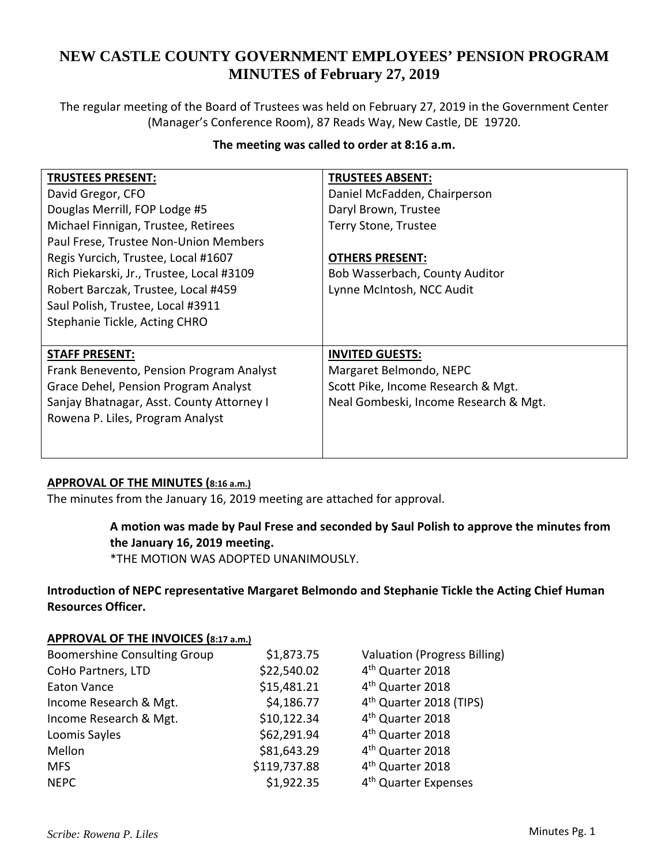# **NEW CASTLE COUNTY GOVERNMENT EMPLOYEES' PENSION PROGRAM MINUTES of February 27, 2019**

The regular meeting of the Board of Trustees was held on February 27, 2019 in the Government Center (Manager's Conference Room), 87 Reads Way, New Castle, DE 19720.

## **The meeting was called to order at 8:16 a.m.**

| <b>TRUSTEES PRESENT:</b>                  | <b>TRUSTEES ABSENT:</b>               |
|-------------------------------------------|---------------------------------------|
| David Gregor, CFO                         | Daniel McFadden, Chairperson          |
| Douglas Merrill, FOP Lodge #5             | Daryl Brown, Trustee                  |
| Michael Finnigan, Trustee, Retirees       | Terry Stone, Trustee                  |
| Paul Frese, Trustee Non-Union Members     |                                       |
| Regis Yurcich, Trustee, Local #1607       | <b>OTHERS PRESENT:</b>                |
| Rich Piekarski, Jr., Trustee, Local #3109 | Bob Wasserbach, County Auditor        |
| Robert Barczak, Trustee, Local #459       | Lynne McIntosh, NCC Audit             |
| Saul Polish, Trustee, Local #3911         |                                       |
| Stephanie Tickle, Acting CHRO             |                                       |
|                                           |                                       |
| <b>STAFF PRESENT:</b>                     | <b>INVITED GUESTS:</b>                |
| Frank Benevento, Pension Program Analyst  | Margaret Belmondo, NEPC               |
| Grace Dehel, Pension Program Analyst      | Scott Pike, Income Research & Mgt.    |
| Sanjay Bhatnagar, Asst. County Attorney I | Neal Gombeski, Income Research & Mgt. |
| Rowena P. Liles, Program Analyst          |                                       |
|                                           |                                       |
|                                           |                                       |

## **APPROVAL OF THE MINUTES (8:16 a.m.)**

The minutes from the January 16, 2019 meeting are attached for approval.

## **A motion was made by Paul Frese and seconded by Saul Polish to approve the minutes from the January 16, 2019 meeting.**

\*THE MOTION WAS ADOPTED UNANIMOUSLY.

## **Introduction of NEPC representative Margaret Belmondo and Stephanie Tickle the Acting Chief Human Resources Officer.**

## **APPROVAL OF THE INVOICES (8:17 a.m.)**

| <b>Boomershine Consulting Group</b> | \$1,873.75   | <b>Valuation (Progress Billing)</b> |
|-------------------------------------|--------------|-------------------------------------|
| CoHo Partners, LTD                  | \$22,540.02  | 4 <sup>th</sup> Quarter 2018        |
| <b>Eaton Vance</b>                  | \$15,481.21  | 4 <sup>th</sup> Quarter 2018        |
| Income Research & Mgt.              | \$4,186.77   | 4 <sup>th</sup> Quarter 2018 (TIPS) |
| Income Research & Mgt.              | \$10,122.34  | 4 <sup>th</sup> Quarter 2018        |
| Loomis Sayles                       | \$62,291.94  | 4 <sup>th</sup> Quarter 2018        |
| Mellon                              | \$81,643.29  | 4 <sup>th</sup> Quarter 2018        |
| <b>MFS</b>                          | \$119,737.88 | 4 <sup>th</sup> Quarter 2018        |
| <b>NEPC</b>                         | \$1,922.35   | 4 <sup>th</sup> Quarter Expenses    |
|                                     |              |                                     |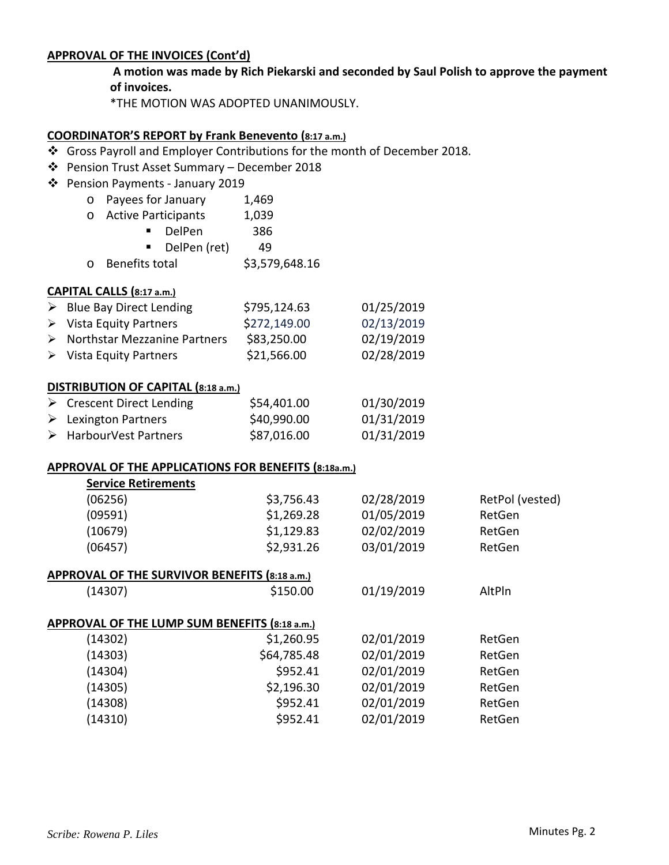#### **APPROVAL OF THE INVOICES (Cont'd)**

**A motion was made by Rich Piekarski and seconded by Saul Polish to approve the payment of invoices.**

\*THE MOTION WAS ADOPTED UNANIMOUSLY.

## **COORDINATOR'S REPORT by Frank Benevento (8:17 a.m.)**

- Gross Payroll and Employer Contributions for the month of December 2018.
- Pension Trust Asset Summary December 2018
- Pension Payments ‐ January 2019
	- o Payees for January 1,469
	- o Active Participants 1,039

|                | DelPen       | 386 |
|----------------|--------------|-----|
|                | DelPen (ret) | 49  |
| n Cu . u .u .u |              |     |

o Benefits total \$3,579,648.16

#### **CAPITAL CALLS (8:17 a.m.)**

| $\triangleright$ Blue Bay Direct Lending      | \$795,124.63 | 01/25/2019 |
|-----------------------------------------------|--------------|------------|
| $\triangleright$ Vista Equity Partners        | \$272,149.00 | 02/13/2019 |
| $\triangleright$ Northstar Mezzanine Partners | \$83,250.00  | 02/19/2019 |
| $\triangleright$ Vista Equity Partners        | \$21,566.00  | 02/28/2019 |

#### **DISTRIBUTION OF CAPITAL (8:18 a.m.)**

| $\triangleright$ Crescent Direct Lending | \$54,401.00 | 01/30/2019 |
|------------------------------------------|-------------|------------|
| $\triangleright$ Lexington Partners      | \$40,990.00 | 01/31/2019 |
| > HarbourVest Partners                   | \$87,016.00 | 01/31/2019 |

## **APPROVAL OF THE APPLICATIONS FOR BENEFITS (8:18a.m.)**

| <b>Service Retirements</b>                    |             |            |                 |  |  |
|-----------------------------------------------|-------------|------------|-----------------|--|--|
| (06256)                                       | \$3,756.43  | 02/28/2019 | RetPol (vested) |  |  |
| (09591)                                       | \$1,269.28  | 01/05/2019 | RetGen          |  |  |
| (10679)                                       | \$1,129.83  | 02/02/2019 | RetGen          |  |  |
| (06457)                                       | \$2,931.26  | 03/01/2019 | RetGen          |  |  |
| APPROVAL OF THE SURVIVOR BENEFITS (8:18 a.m.) |             |            |                 |  |  |
| (14307)                                       | \$150.00    | 01/19/2019 | AltPln          |  |  |
| APPROVAL OF THE LUMP SUM BENEFITS (8:18 a.m.) |             |            |                 |  |  |
| (14302)                                       | \$1,260.95  | 02/01/2019 | RetGen          |  |  |
| (14303)                                       | \$64,785.48 | 02/01/2019 | RetGen          |  |  |
| (14304)                                       | \$952.41    | 02/01/2019 | RetGen          |  |  |
| (14305)                                       | \$2,196.30  | 02/01/2019 | RetGen          |  |  |
| (14308)                                       | \$952.41    | 02/01/2019 | RetGen          |  |  |
| (14310)                                       | \$952.41    | 02/01/2019 | RetGen          |  |  |
|                                               |             |            |                 |  |  |